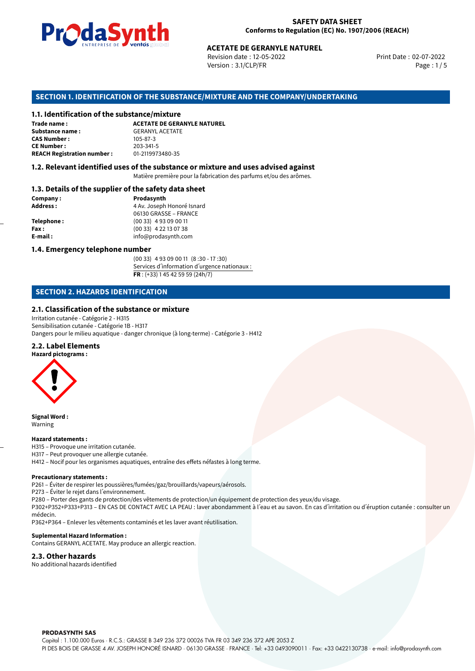

Revision date : 12-05-2022 Version : 3.1/CLP/FR Page : 1 / 5

Print Date: 02-07-2022

# **ACETATE DE GERANYLE NATUREL<br>
Revision date : 12-05-2022<br>
Version : 3.1/CLP/FR<br>
OF THE SUBSTANCE/MIXTURE AND THE COMPANY/UND<br>
tance/mixture<br>
ACETATE DE GERANYLE NATUREL SECTION 1. IDENTIFICATION OF THE SUBSTANCE/MIXTURE AND THE COMPANY/UNDERTAKING**

#### **1.1. Identification of the substance/mixture**

| <b>ACETATE DE GERANYLE NA</b> |
|-------------------------------|
| <b>GERANYL ACETATE</b>        |
| $105 - 87 - 3$                |
| 203-341-5                     |
| 01-2119973480-35              |
|                               |

#### **1.2. Relevant identified uses of the substance or mixture and uses advised against**

Matière première pour la fabrication des parfums et/ou des arômes.

#### **1.3. Details of the supplier of the safety data sheet**

| Prodasynth                 |
|----------------------------|
| 4 Av. Joseph Honoré Isnard |
| 06130 GRASSE - FRANCE      |
| $(0033)$ 4 93 09 00 11     |
| (00 33) 4 22 13 07 38      |
| info@prodasynth.com        |
|                            |

#### **1.4. Emergency telephone number**

(00 33) 4 93 09 00 11 (8 :30 - 17 :30) Services dˊinformation dˊurgence nationaux : **FR** : (+33) 1 45 42 59 59 (24h/7)

#### **SECTION 2. HAZARDS IDENTIFICATION**

#### **2.1. Classification of the substance or mixture**

Irritation cutanée - Catégorie 2 - H315 Sensibilisation cutanée - Catégorie 1B - H317 Dangers pour le milieu aquatique - danger chronique (à long-terme) - Catégorie 3 - H412

#### **2.2. Label Elements**

**Hazard pictograms :**



**Signal Word :** Warning

#### **Hazard statements :**

H315 – Provoque une irritation cutanée.

H317 – Peut provoquer une allergie cutanée.

H412 – Nocif pour les organismes aquatiques, entraîne des effets néfastes à long terme.

#### **Precautionary statements :**

P261 – Éviter de respirer les poussières/fumées/gaz/brouillards/vapeurs/aérosols.

P273 – Éviter le rejet dans lˊenvironnement.

P280 – Porter des gants de protection/des vêtements de protection/un équipement de protection des yeux/du visage. P302+P352+P333+P313 – EN CAS DE CONTACT AVEC LA PEAU : laver abondamment à lˊeau et au savon. En cas dˊirritation ou dˊéruption cutanée : consulter un médecin.

P362+P364 – Enlever les vêtements contaminés et les laver avant réutilisation.

#### **Suplemental Hazard Information :**

Contains GERANYL ACETATE. May produce an allergic reaction.

#### **2.3. Other hazards**

No additional hazards identified

**PRODASYNTH SAS** 

PI DES BOIS DE GRASSE 4 AV. JOSEPH HONORÉ ISNARD · 06130 GRASSE · FRANCE · Tel: +33 0493090011 · Fax: +33 0422130738 · e-mail: info@prodasynth.com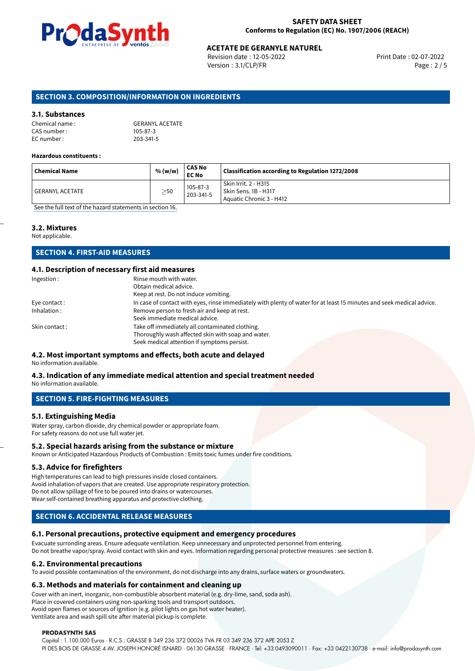

Revision date : 12-05-2022 Version : 3.1/CLP/FR Page : 2 / 5

#### **SECTION 3. COMPOSITION/INFORMATION ON INGREDIENTS**

#### **3.1. Substances**

| Chemical name: | <b>GERANYL ACETATE</b> |
|----------------|------------------------|
| CAS number:    | $105 - 87 - 3$         |
| EC number :    | 203-341-5              |

#### **Hazardous constituents :**

| Chemical Name     | % (w/w)   | CAS No<br><b>EC No</b> | Classification according to Regulation 1272/2008                         |
|-------------------|-----------|------------------------|--------------------------------------------------------------------------|
| l GERANYL ACETATE | $\geq$ 50 | 105-87-3<br>203-341-5  | Skin Irrit. 2 - H315<br>Skin Sens. 1B - H317<br>Aquatic Chronic 3 - H412 |

[See the full text of the hazard statements in section 16.](#page-4-0)

#### **3.2. Mixtures**

Not applicable.

#### **SECTION 4. FIRST-AID MEASURES**

#### **4.1. Description of necessary first aid measures**

| Ingestion:    | Rinse mouth with water.                                                                                               |
|---------------|-----------------------------------------------------------------------------------------------------------------------|
|               | Obtain medical advice.                                                                                                |
|               | Keep at rest. Do not induce vomiting.                                                                                 |
| Eye contact:  | In case of contact with eyes, rinse immediately with plenty of water for at least 15 minutes and seek medical advice. |
| Inhalation:   | Remove person to fresh air and keep at rest.                                                                          |
|               | Seek immediate medical advice.                                                                                        |
| Skin contact: | Take off immediately all contaminated clothing.                                                                       |
|               | Thoroughly wash affected skin with soap and water.                                                                    |
|               | Seek medical attention if symptoms persist.                                                                           |

## **4.2. Most important symptoms and effects, both acute and delayed**

No information available.

#### **4.3. Indication of any immediate medical attention and special treatment needed**

No information available.

#### **SECTION 5. FIRE-FIGHTING MEASURES**

#### **5.1. Extinguishing Media**

Water spray, carbon dioxide, dry chemical powder or appropriate foam. For safety reasons do not use full water jet.

#### **5.2. Special hazards arising from the substance or mixture**

Known or Anticipated Hazardous Products of Combustion : Emits toxic fumes under fire conditions.

#### **5.3. Advice for firefighters**

High temperatures can lead to high pressures inside closed containers. Avoid inhalation of vapors that are created. Use appropriate respiratory protection. Do not allow spillage of fire to be poured into drains or watercourses. Wear self-contained breathing apparatus and protective clothing.

#### **SECTION 6. ACCIDENTAL RELEASE MEASURES**

#### **6.1. Personal precautions, protective equipment and emergency procedures**

Evacuate surronding areas. Ensure adequate ventilation. Keep unnecessary and unprotected personnel from entering. Do not breathe vapor/spray. Avoid contact with skin and eyes. Information regarding personal protective measures : see section 8.

#### **6.2. Environmental precautions**

To avoid possible contamination of the environment, do not discharge into any drains, surface waters or groundwaters.

#### **6.3. Methods and materials for containment and cleaning up**

Cover with an inert, inorganic, non-combustible absorbent material (e.g. dry-lime, sand, soda ash). Place in covered containers using non-sparking tools and transport outdoors. Avoid open flames or sources of ignition (e.g. pilot lights on gas hot water heater). Ventilate area and wash spill site after material pickup is complete.

#### **PRODASYNTH SAS**

Capital : 1.100.000 Euros · R.C.S.: GRASSE B 349 236 372 00026 TVA FR 03 349 236 372 APE 2053 Z PI DES BOIS DE GRASSE 4 AV. JOSEPH HONORÉ ISNARD · 06130 GRASSE · FRANCE · Tel: +33 0493090011 · Fax: +33 0422130738 · e-mail: info@prodasynth.com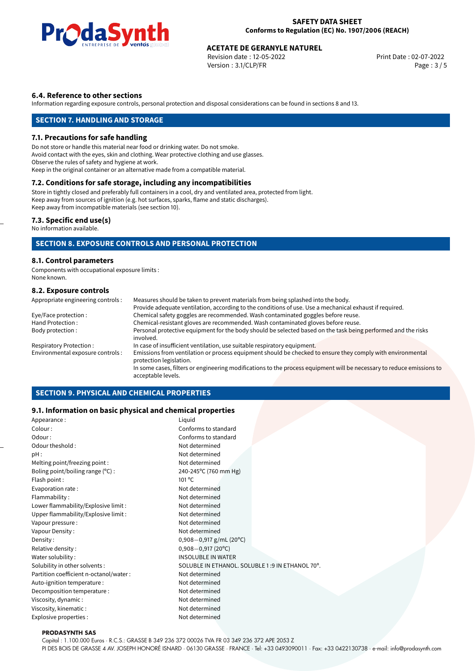

Revision date : 12-05-2022 Version : 3.1/CLP/FR Page : 3 / 5

#### **6.4. Reference to other sections**

Information regarding exposure controls, personal protection and disposal considerations can be found in sections 8 and 13.

#### **SECTION 7. HANDLING AND STORAGE**

#### **7.1. Precautions for safe handling**

Do not store or handle this material near food or drinking water. Do not smoke. Avoid contact with the eyes, skin and clothing. Wear protective clothing and use glasses. Observe the rules of safety and hygiene at work. Keep in the original container or an alternative made from a compatible material.

#### **7.2. Conditions for safe storage, including any incompatibilities**

Store in tightly closed and preferably full containers in a cool, dry and ventilated area, protected from light. Keep away from sources of ignition (e.g. hot surfaces, sparks, flame and static discharges). Keep away from incompatible materials (see section 10).

#### **7.3. Specific end use(s)**

No information available.

#### **SECTION 8. EXPOSURE CONTROLS AND PERSONAL PROTECTION**

#### **8.1. Control parameters**

Components with occupational exposure limits : None known.

#### **8.2. Exposure controls**

| Appropriate engineering controls: | Measures should be taken to prevent materials from being splashed into the body.                                                            |
|-----------------------------------|---------------------------------------------------------------------------------------------------------------------------------------------|
|                                   | Provide adequate ventilation, according to the conditions of use. Use a mechanical exhaust if required.                                     |
| Eye/Face protection:              | Chemical safety goggles are recommended. Wash contaminated goggles before reuse.                                                            |
| Hand Protection:                  | Chemical-resistant gloves are recommended. Wash contaminated gloves before reuse.                                                           |
| Body protection:                  | Personal protective equipment for the body should be selected based on the task being performed and the risks<br>involved.                  |
| <b>Respiratory Protection:</b>    | In case of insufficient ventilation, use suitable respiratory equipment.                                                                    |
| Environmental exposure controls : | Emissions from ventilation or process equipment should be checked to ensure they comply with environmental<br>protection legislation.       |
|                                   | In some cases, filters or engineering modifications to the process equipment will be necessary to reduce emissions to<br>acceptable levels. |

#### **SECTION 9. PHYSICAL AND CHEMICAL PROPERTIES**

#### **9.1. Information on basic physical and chemical properties**

| Appearance:                            | Liquid                                          |  |
|----------------------------------------|-------------------------------------------------|--|
| Colour:                                | Conforms to standard                            |  |
| Odour:                                 | Conforms to standard                            |  |
| Odour theshold:                        | Not determined                                  |  |
| pH:                                    | Not determined                                  |  |
| Melting point/freezing point :         | Not determined                                  |  |
| Boling point/boiling range $(°C)$ :    | 240-245°C (760 mm Hg)                           |  |
| Flash point:                           | $101^{\circ}$ C                                 |  |
| Evaporation rate:                      | Not determined                                  |  |
| Flammability:                          | Not determined                                  |  |
| Lower flammability/Explosive limit:    | Not determined                                  |  |
| Upper flammability/Explosive limit:    | Not determined                                  |  |
| Vapour pressure :                      | Not determined                                  |  |
| Vapour Density:                        | Not determined                                  |  |
| Density:                               | $0,908 - 0,917$ g/mL (20°C)                     |  |
| Relative density:                      | $0,908 - 0,917(20^{\circ}C)$                    |  |
| Water solubility :                     | <b>INSOLUBLE IN WATER</b>                       |  |
| Solubility in other solvents:          | SOLUBLE IN ETHANOL, SOLUBLE 1:9 IN ETHANOL 70°. |  |
| Partition coefficient n-octanol/water: | Not determined                                  |  |
| Auto-ignition temperature :            | Not determined                                  |  |
| Decomposition temperature:             | Not determined                                  |  |
| Viscosity, dynamic :                   | Not determined                                  |  |
| Viscosity, kinematic :                 | Not determined                                  |  |
| Explosive properties:                  | Not determined                                  |  |
|                                        |                                                 |  |

#### **PRODASYNTH SAS**

Capital : 1.100.000 Euros · R.C.S.: GRASSE B 349 236 372 00026 TVA FR 03 349 236 372 APE 2053 Z

PI DES BOIS DE GRASSE 4 AV. JOSEPH HONORÉ ISNARD · 06130 GRASSE · FRANCE · Tel: +33 0493090011 · Fax: +33 0422130738 · e-mail: info@prodasynth.com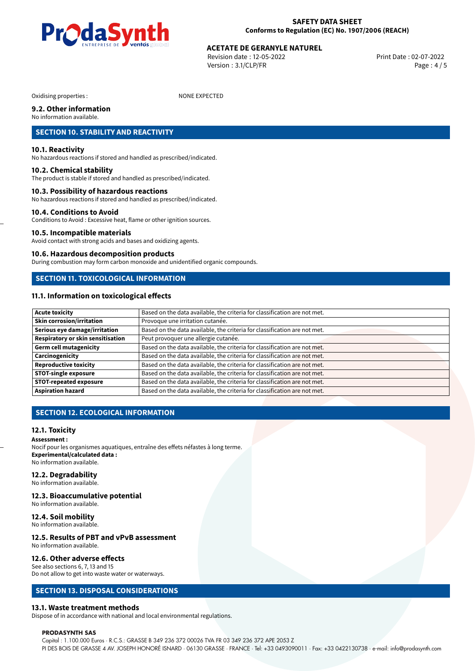

Revision date : 12-05-2022 Version :  $3.1/CLP/FR$  Page :  $4/5$ 

Oxidising properties : NONE EXPECTED

#### **9.2. Other information**

#### No information available.

#### **SECTION 10. STABILITY AND REACTIVITY**

#### **10.1. Reactivity**

No hazardous reactions if stored and handled as prescribed/indicated.

#### **10.2. Chemical stability**

The product is stable if stored and handled as prescribed/indicated.

#### **10.3. Possibility of hazardous reactions**

No hazardous reactions if stored and handled as prescribed/indicated.

#### **10.4. Conditions to Avoid**

Conditions to Avoid : Excessive heat, flame or other ignition sources.

#### **10.5. Incompatible materials**

Avoid contact with strong acids and bases and oxidizing agents.

#### **10.6. Hazardous decomposition products**

During combustion may form carbon monoxide and unidentified organic compounds.

#### **SECTION 11. TOXICOLOGICAL INFORMATION**

#### **11.1. Information on toxicological effects**

| <b>Acute toxicity</b>             | Based on the data available, the criteria for classification are not met. |
|-----------------------------------|---------------------------------------------------------------------------|
| <b>Skin corrosion/irritation</b>  | Provoque une irritation cutanée.                                          |
| Serious eye damage/irritation     | Based on the data available, the criteria for classification are not met. |
| Respiratory or skin sensitisation | Peut provoquer une allergie cutanée.                                      |
| <b>Germ cell mutagenicity</b>     | Based on the data available, the criteria for classification are not met. |
| Carcinogenicity                   | Based on the data available, the criteria for classification are not met. |
| <b>Reproductive toxicity</b>      | Based on the data available, the criteria for classification are not met. |
| <b>STOT-single exposure</b>       | Based on the data available, the criteria for classification are not met. |
| <b>STOT-repeated exposure</b>     | Based on the data available, the criteria for classification are not met. |
| <b>Aspiration hazard</b>          | Based on the data available, the criteria for classification are not met. |

#### **SECTION 12. ECOLOGICAL INFORMATION**

#### **12.1. Toxicity**

**Assessment :** Nocif pour les organismes aquatiques, entraîne des effets néfastes à long terme. **Experimental/calculated data :** No information available.

#### **12.2. Degradability**

No information available.

#### **12.3. Bioaccumulative potential**

No information available.

#### **12.4. Soil mobility**

No information available.

#### **12.5. Results of PBT and vPvB assessment** No information available.

#### **12.6. Other adverse effects**

See also sections 6, 7, 13 and 15 Do not allow to get into waste water or waterways.

#### **SECTION 13. DISPOSAL CONSIDERATIONS**

#### **13.1. Waste treatment methods**

Dispose of in accordance with national and local environmental regulations.

#### **PRODASYNTH SAS**

Capital : 1.100.000 Euros · R.C.S.: GRASSE B 349 236 372 00026 TVA FR 03 349 236 372 APE 2053 Z PI DES BOIS DE GRASSE 4 AV. JOSEPH HONORÉ ISNARD · 06130 GRASSE · FRANCE · Tel: +33 0493090011 · Fax: +33 0422130738 · e-mail: info@prodasynth.com